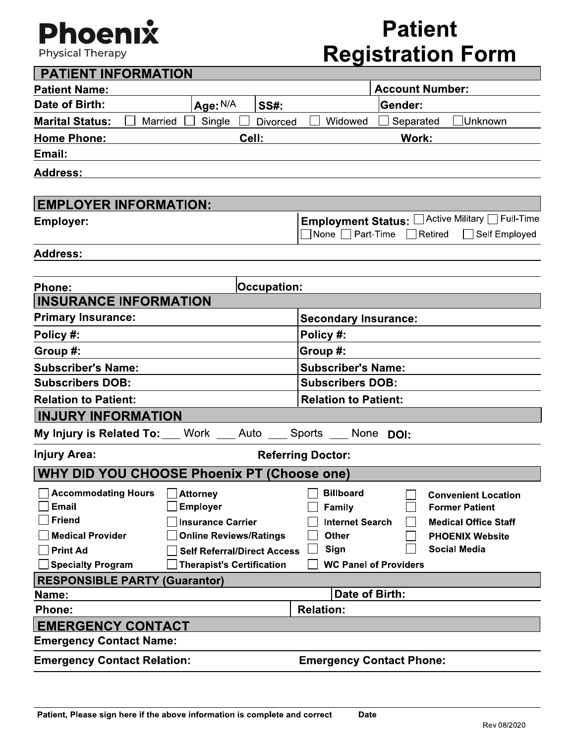## Phoenıx

**Physical Therapy** 

### **Patient Registration Form**

| <b>PATIENT INFORMATION</b>                                   |                                                                        |                         |                                     |                              |                                                  |
|--------------------------------------------------------------|------------------------------------------------------------------------|-------------------------|-------------------------------------|------------------------------|--------------------------------------------------|
| <b>Patient Name:</b>                                         |                                                                        |                         |                                     | <b>Account Number:</b>       |                                                  |
| Date of Birth:                                               | Age: N/A                                                               | <b>SS#:</b>             |                                     | Gender:                      |                                                  |
| <b>Marital Status:</b><br>Married                            | Single                                                                 | <b>Divorced</b>         | Widowed                             | Separated                    | Unknown                                          |
| <b>Home Phone:</b>                                           | Cell:                                                                  |                         |                                     | Work:                        |                                                  |
| Email:                                                       |                                                                        |                         |                                     |                              |                                                  |
| <b>Address:</b>                                              |                                                                        |                         |                                     |                              |                                                  |
|                                                              |                                                                        |                         |                                     |                              |                                                  |
| <b>EMPLOYER INFORMATION:</b>                                 |                                                                        |                         |                                     |                              |                                                  |
| <b>Employer:</b>                                             |                                                                        |                         |                                     |                              | Employment Status: C Active Military C Full-Time |
|                                                              |                                                                        |                         | $\Box$ None $\Box$ Part-Time $\Box$ |                              | Self Employed<br>Retired                         |
| <b>Address:</b>                                              |                                                                        |                         |                                     |                              |                                                  |
|                                                              |                                                                        |                         |                                     |                              |                                                  |
| <b>Phone:</b>                                                |                                                                        | Occupation:             |                                     |                              |                                                  |
| <b>INSURANCE INFORMATION</b>                                 |                                                                        |                         |                                     |                              |                                                  |
| <b>Primary Insurance:</b>                                    |                                                                        |                         | <b>Secondary Insurance:</b>         |                              |                                                  |
| Policy #:                                                    |                                                                        |                         | Policy #:                           |                              |                                                  |
| Group #:                                                     |                                                                        |                         | Group #:                            |                              |                                                  |
| <b>Subscriber's Name:</b>                                    |                                                                        |                         | <b>Subscriber's Name:</b>           |                              |                                                  |
| <b>Subscribers DOB:</b>                                      |                                                                        | <b>Subscribers DOB:</b> |                                     |                              |                                                  |
| <b>Relation to Patient:</b>                                  |                                                                        |                         | <b>Relation to Patient:</b>         |                              |                                                  |
| <b>INJURY INFORMATION</b>                                    |                                                                        |                         |                                     |                              |                                                  |
| My Injury is Related To: Work __ Auto __ Sports __ None DOI: |                                                                        |                         |                                     |                              |                                                  |
| <b>Injury Area:</b>                                          |                                                                        |                         | <b>Referring Doctor:</b>            |                              |                                                  |
| <b>WHY DID YOU CHOOSE Phoenix PT (Choose one)</b>            |                                                                        |                         |                                     |                              |                                                  |
| Accommodating Hours Attorney                                 |                                                                        |                         | $\Box$ Billboard                    | 冖                            | <b>Convenient Location</b>                       |
| <b>Email</b>                                                 | <b>Employer</b>                                                        |                         | Family                              |                              | <b>Former Patient</b>                            |
| <b>Friend</b>                                                | <b>Insurance Carrier</b>                                               |                         | <b>Internet Search</b>              |                              | <b>Medical Office Staff</b>                      |
| <b>Medical Provider</b>                                      | <b>Online Reviews/Ratings</b>                                          |                         | <b>Other</b><br>Sign                |                              | <b>PHOENIX Website</b><br><b>Social Media</b>    |
| <b>Print Ad</b><br><b>Specialty Program</b>                  | <b>Self Referral/Direct Access</b><br><b>Therapist's Certification</b> |                         |                                     | <b>WC Panel of Providers</b> |                                                  |
| <b>RESPONSIBLE PARTY (Guarantor)</b>                         |                                                                        |                         |                                     |                              |                                                  |
| Name:                                                        |                                                                        |                         | Date of Birth:                      |                              |                                                  |
| <b>Phone:</b>                                                |                                                                        |                         | <b>Relation:</b>                    |                              |                                                  |
| <b>EMERGENCY CONTACT</b>                                     |                                                                        |                         |                                     |                              |                                                  |
| <b>Emergency Contact Name:</b>                               |                                                                        |                         |                                     |                              |                                                  |
| <b>Emergency Contact Relation:</b>                           |                                                                        |                         | <b>Emergency Contact Phone:</b>     |                              |                                                  |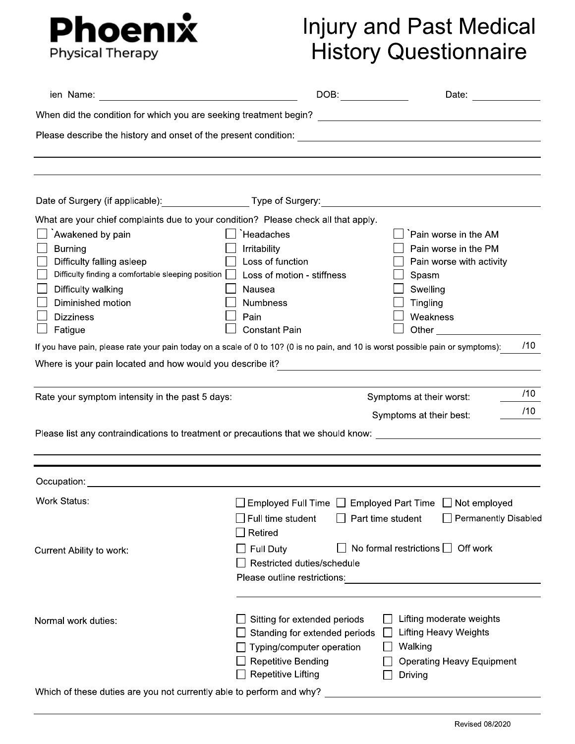

# Injury and Past Medical<br>History Questionnaire

| ien Name:                                                                                                                                                                                                                                                                                                                                                                                                                                                                                    |                                                                                                                                                      | DOB:<br>Date:                                                                                                                                                                                   |                      |
|----------------------------------------------------------------------------------------------------------------------------------------------------------------------------------------------------------------------------------------------------------------------------------------------------------------------------------------------------------------------------------------------------------------------------------------------------------------------------------------------|------------------------------------------------------------------------------------------------------------------------------------------------------|-------------------------------------------------------------------------------------------------------------------------------------------------------------------------------------------------|----------------------|
|                                                                                                                                                                                                                                                                                                                                                                                                                                                                                              |                                                                                                                                                      |                                                                                                                                                                                                 |                      |
|                                                                                                                                                                                                                                                                                                                                                                                                                                                                                              |                                                                                                                                                      |                                                                                                                                                                                                 |                      |
|                                                                                                                                                                                                                                                                                                                                                                                                                                                                                              |                                                                                                                                                      |                                                                                                                                                                                                 |                      |
|                                                                                                                                                                                                                                                                                                                                                                                                                                                                                              |                                                                                                                                                      |                                                                                                                                                                                                 |                      |
| What are your chief complaints due to your condition? Please check all that apply.<br>Awakened by pain<br><b>Burning</b><br>Difficulty falling asleep<br>Difficulty finding a comfortable sleeping position $\Box$<br>Difficulty walking<br>Diminished motion<br><b>Dizziness</b><br>Fatigue<br>If you have pain, please rate your pain today on a scale of 0 to 10? (0 is no pain, and 10 is worst possible pain or symptoms):<br>Where is your pain located and how would you describe it? | Headaches<br>Irritability<br>Loss of function<br>Loss of motion - stiffness<br>Nausea<br><b>Numbness</b><br>Pain<br><b>Constant Pain</b>             | Pain worse in the AM<br>Pain worse in the PM<br>Pain worse with activity<br>Spasm<br>Swelling<br>Tingling<br>Weakness<br><u> 1980 - Jan Samuel Barbara, martin di</u>                           | /10                  |
| Rate your symptom intensity in the past 5 days:                                                                                                                                                                                                                                                                                                                                                                                                                                              |                                                                                                                                                      | Symptoms at their worst:                                                                                                                                                                        | /10<br>/10           |
| Please list any contraindications to treatment or precautions that we should know:                                                                                                                                                                                                                                                                                                                                                                                                           |                                                                                                                                                      | Symptoms at their best:                                                                                                                                                                         |                      |
| Occupation:                                                                                                                                                                                                                                                                                                                                                                                                                                                                                  |                                                                                                                                                      |                                                                                                                                                                                                 |                      |
| <b>Work Status:</b><br><b>Current Ability to work:</b>                                                                                                                                                                                                                                                                                                                                                                                                                                       | $\Box$ Full time student<br>$\Box$ Retired<br><b>Full Duty</b><br>Restricted duties/schedule<br>Please outline restrictions:                         | $\Box$ Employed Full Time $\Box$ Employed Part Time $\Box$ Not employed<br>$\Box$ Part time student<br>No formal restrictions $\Box$ Off work<br><u> 1980 - Jan Stein, amerikansk politik (</u> | Permanently Disabled |
| Normal work duties:                                                                                                                                                                                                                                                                                                                                                                                                                                                                          | Sitting for extended periods<br>Standing for extended periods<br>Typing/computer operation<br><b>Repetitive Bending</b><br><b>Repetitive Lifting</b> | Lifting moderate weights<br><b>Lifting Heavy Weights</b><br>Walking<br><b>Operating Heavy Equipment</b><br>Driving                                                                              |                      |
| Which of these duties are you not currently able to perform and why?                                                                                                                                                                                                                                                                                                                                                                                                                         |                                                                                                                                                      |                                                                                                                                                                                                 |                      |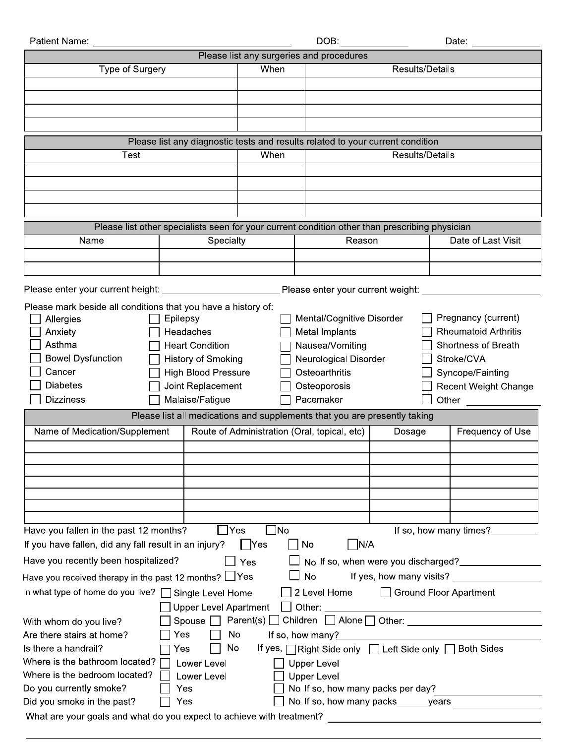| Patient Name:<br>DOB:<br>Date:                                                                               |                                                                                                |                                                                                                           |                                              |                 |                             |
|--------------------------------------------------------------------------------------------------------------|------------------------------------------------------------------------------------------------|-----------------------------------------------------------------------------------------------------------|----------------------------------------------|-----------------|-----------------------------|
| Please list any surgeries and procedures                                                                     |                                                                                                |                                                                                                           |                                              |                 |                             |
| Type of Surgery                                                                                              |                                                                                                | When                                                                                                      |                                              | Results/Details |                             |
|                                                                                                              |                                                                                                |                                                                                                           |                                              |                 |                             |
|                                                                                                              |                                                                                                |                                                                                                           |                                              |                 |                             |
|                                                                                                              |                                                                                                |                                                                                                           |                                              |                 |                             |
|                                                                                                              |                                                                                                |                                                                                                           |                                              |                 |                             |
|                                                                                                              |                                                                                                |                                                                                                           |                                              |                 |                             |
|                                                                                                              |                                                                                                | Please list any diagnostic tests and results related to your current condition<br>When<br>Results/Details |                                              |                 |                             |
| Test                                                                                                         |                                                                                                |                                                                                                           |                                              |                 |                             |
|                                                                                                              |                                                                                                |                                                                                                           |                                              |                 |                             |
|                                                                                                              |                                                                                                |                                                                                                           |                                              |                 |                             |
|                                                                                                              |                                                                                                |                                                                                                           |                                              |                 |                             |
|                                                                                                              |                                                                                                |                                                                                                           |                                              |                 |                             |
|                                                                                                              | Please list other specialists seen for your current condition other than prescribing physician |                                                                                                           |                                              |                 |                             |
| Name                                                                                                         | Specialty                                                                                      | Reason                                                                                                    |                                              |                 | Date of Last Visit          |
|                                                                                                              |                                                                                                |                                                                                                           |                                              |                 |                             |
|                                                                                                              |                                                                                                |                                                                                                           |                                              |                 |                             |
| Please enter your current height:                                                                            |                                                                                                |                                                                                                           | Please enter your current weight:            |                 |                             |
| Please mark beside all conditions that you have a history of:                                                |                                                                                                |                                                                                                           |                                              |                 |                             |
| Allergies                                                                                                    | Epilepsy                                                                                       |                                                                                                           | Mental/Cognitive Disorder                    |                 | Pregnancy (current)         |
| Anxiety                                                                                                      | Headaches                                                                                      |                                                                                                           | Metal Implants                               |                 | <b>Rheumatoid Arthritis</b> |
| Asthma                                                                                                       | <b>Heart Condition</b>                                                                         |                                                                                                           | Nausea/Vomiting                              |                 | Shortness of Breath         |
| <b>Bowel Dysfunction</b>                                                                                     | History of Smoking                                                                             |                                                                                                           |                                              |                 | Stroke/CVA                  |
| Cancer                                                                                                       | <b>High Blood Pressure</b>                                                                     |                                                                                                           | Neurological Disorder<br>Osteoarthritis      |                 | Syncope/Fainting            |
| <b>Diabetes</b>                                                                                              | Joint Replacement                                                                              |                                                                                                           | Osteoporosis                                 |                 | <b>Recent Weight Change</b> |
| <b>Dizziness</b>                                                                                             | Malaise/Fatigue                                                                                |                                                                                                           | Pacemaker                                    |                 | Other                       |
|                                                                                                              | Please list all medications and supplements that you are presently taking                      |                                                                                                           |                                              |                 |                             |
|                                                                                                              |                                                                                                |                                                                                                           |                                              |                 |                             |
| Name of Medication/Supplement                                                                                |                                                                                                |                                                                                                           | Route of Administration (Oral, topical, etc) | Dosage          | Frequency of Use            |
|                                                                                                              |                                                                                                |                                                                                                           |                                              |                 |                             |
|                                                                                                              |                                                                                                |                                                                                                           |                                              |                 |                             |
|                                                                                                              |                                                                                                |                                                                                                           |                                              |                 |                             |
|                                                                                                              |                                                                                                |                                                                                                           |                                              |                 |                             |
|                                                                                                              |                                                                                                |                                                                                                           |                                              |                 |                             |
|                                                                                                              |                                                                                                |                                                                                                           |                                              |                 |                             |
| Have you fallen in the past 12 months?<br>$\n  1$ No<br>If so, how many times?<br> Yes                       |                                                                                                |                                                                                                           |                                              |                 |                             |
| If you have fallen, did any fall result in an injury?<br> N/A<br>┃ Yes<br>No                                 |                                                                                                |                                                                                                           |                                              |                 |                             |
| Have you recently been hospitalized?<br>No If so, when were you discharged?<br>Yes                           |                                                                                                |                                                                                                           |                                              |                 |                             |
| <b>No</b><br>Have you received therapy in the past 12 months? $\Box$ Yes                                     |                                                                                                |                                                                                                           |                                              |                 |                             |
| In what type of home do you live?   Single Level Home<br>2 Level Home<br><b>Ground Floor Apartment</b>       |                                                                                                |                                                                                                           |                                              |                 |                             |
| Other:<br><b>Upper Level Apartment</b>                                                                       |                                                                                                |                                                                                                           |                                              |                 |                             |
| Spouse $\Box$ Parent(s)<br>Children $\Box$ Alone $\Box$ Other:                                               |                                                                                                |                                                                                                           |                                              |                 |                             |
| With whom do you live?<br>Are there stairs at home?<br>Yes                                                   |                                                                                                |                                                                                                           |                                              |                 |                             |
| No<br>If so, how many?                                                                                       |                                                                                                |                                                                                                           |                                              |                 |                             |
| If yes, $\Box$ Right Side only $\Box$ Left Side only $\Box$ Both Sides<br>Is there a handrail?<br>No.<br>Yes |                                                                                                |                                                                                                           |                                              |                 |                             |
| Where is the bathroom located?<br>Lower Level<br><b>Upper Level</b>                                          |                                                                                                |                                                                                                           |                                              |                 |                             |
| Where is the bedroom located?<br><b>Upper Level</b><br>Lower Level                                           |                                                                                                |                                                                                                           |                                              |                 |                             |
|                                                                                                              | Do you currently smoke?<br>No If so, how many packs per day?<br>Yes                            |                                                                                                           |                                              |                 |                             |
| No If so, how many packs years<br>Did you smoke in the past?<br>Yes                                          |                                                                                                |                                                                                                           |                                              |                 |                             |
| What are your goals and what do you expect to achieve with treatment?                                        |                                                                                                |                                                                                                           |                                              |                 |                             |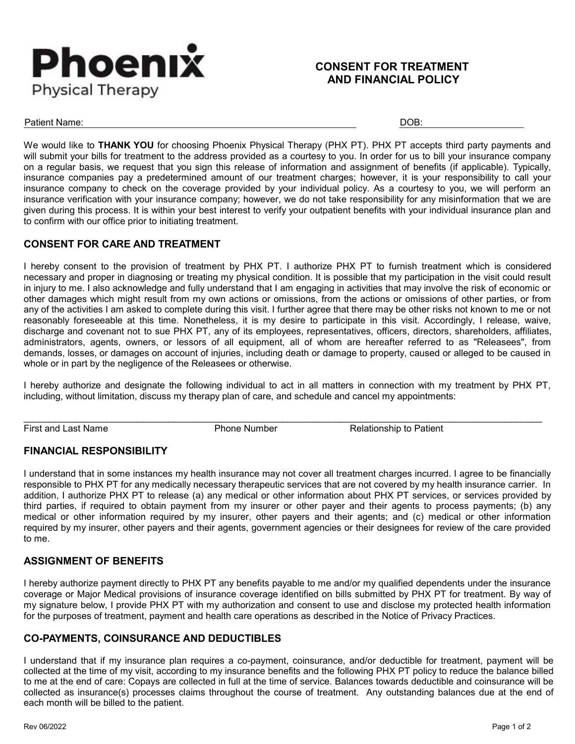

#### **CONSENT FOR TREATMENT AND FINANCIAL POLICY**

Patient Name: DOB:

We would like to **THANK YOU** for choosing Phoenix Physical Therapy (PHX PT). PHX PT accepts third party payments and will submit your bills for treatment to the address provided as a courtesy to you. In order for us to bill your insurance company on a regular basis, we request that you sign this release of information and assignment of benefits (if applicable). Typically, insurance companies pay a predetermined amount of our treatment charges; however, it is your responsibility to call your insurance company to check on the coverage provided by your individual policy. As a courtesy to you, we will perform an insurance verification with your insurance company; however, we do not take responsibility for any misinformation that we are given during this process. It is within your best interest to verify your outpatient benefits with your individual insurance plan and to confirm with our office prior to initiating treatment.

#### **CONSENT FOR CARE AND TREATMENT**

I hereby consent to the provision of treatment by PHX PT. I authorize PHX PT to furnish treatment which is considered necessary and proper in diagnosing or treating my physical condition. It is possible that my participation in the visit could result in injury to me. I also acknowledge and fully understand that I am engaging in activities that may involve the risk of economic or other damages which might result from my own actions or omissions, from the actions or omissions of other parties, or from any of the activities I am asked to complete during this visit. I further agree that there may be other risks not known to me or not reasonably foreseeable at this time. Nonetheless, it is my desire to participate in this visit. Accordingly, I release, waive, discharge and covenant not to sue PHX PT, any of its employees, representatives, officers, directors, shareholders, affiliates, administrators, agents, owners, or lessors of all equipment, all of whom are hereafter referred to as "Releasees", from demands, losses, or damages on account of injuries, including death or damage to property, caused or alleged to be caused in whole or in part by the negligence of the Releasees or otherwise.

I hereby authorize and designate the following individual to act in all matters in connection with my treatment by PHX PT, including, without limitation, discuss my therapy plan of care, and schedule and cancel my appointments:

First and Last Name **Phone Number** Phone Number Relationship to Patient

#### **FINANCIAL RESPONSIBILITY**

I understand that in some instances my health insurance may not cover all treatment charges incurred. I agree to be financially responsible to PHX PT for any medically necessary therapeutic services that are not covered by my health insurance carrier. In addition, I authorize PHX PT to release (a) any medical or other information about PHX PT services, or services provided by third parties, if required to obtain payment from my insurer or other payer and their agents to process payments; (b) any medical or other information required by my insurer, other payers and their agents; and (c) medical or other information required by my insurer, other payers and their agents, government agencies or their designees for review of the care provided to me.

#### **ASSIGNMENT OF BENEFITS**

I hereby authorize payment directly to PHX PT any benefits payable to me and/or my qualified dependents under the insurance coverage or Major Medical provisions of insurance coverage identified on bills submitted by PHX PT for treatment. By way of my signature below, I provide PHX PT with my authorization and consent to use and disclose my protected health information for the purposes of treatment, payment and health care operations as described in the Notice of Privacy Practices.

#### **CO-PAYMENTS, COINSURANCE AND DEDUCTIBLES**

I understand that if my insurance plan requires a co-payment, coinsurance, and/or deductible for treatment, payment will be collected at the time of my visit, according to my insurance benefits and the following PHX PT policy to reduce the balance billed to me at the end of care: Copays are collected in full at the time of service. Balances towards deductible and coinsurance will be collected as insurance(s) processes claims throughout the course of treatment. Any outstanding balances due at the end of each month will be billed to the patient.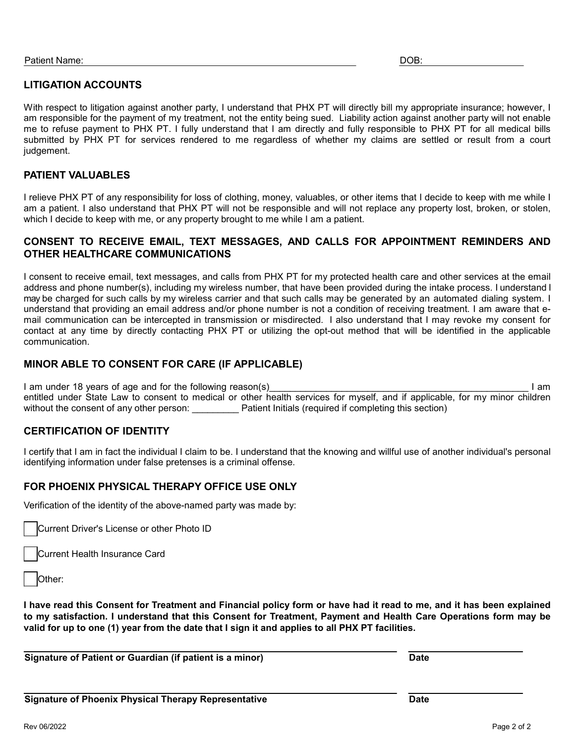#### **LITIGATION ACCOUNTS**

With respect to litigation against another party, I understand that PHX PT will directly bill my appropriate insurance; however, I am responsible for the payment of my treatment, not the entity being sued. Liability action against another party will not enable me to refuse payment to PHX PT. I fully understand that I am directly and fully responsible to PHX PT for all medical bills submitted by PHX PT for services rendered to me regardless of whether my claims are settled or result from a court judgement.

#### **PATIENT VALUABLES**

I relieve PHX PT of any responsibility for loss of clothing, money, valuables, or other items that I decide to keep with me while I am a patient. I also understand that PHX PT will not be responsible and will not replace any property lost, broken, or stolen, which I decide to keep with me, or any property brought to me while I am a patient.

#### **CONSENT TO RECEIVE EMAIL, TEXT MESSAGES, AND CALLS FOR APPOINTMENT REMINDERS AND OTHER HEALTHCARE COMMUNICATIONS**

I consent to receive email, text messages, and calls from PHX PT for my protected health care and other services at the email address and phone number(s), including my wireless number, that have been provided during the intake process. I understand I may be charged for such calls by my wireless carrier and that such calls may be generated by an automated dialing system. I understand that providing an email address and/or phone number is not a condition of receiving treatment. I am aware that email communication can be intercepted in transmission or misdirected. I also understand that I may revoke my consent for contact at any time by directly contacting PHX PT or utilizing the opt-out method that will be identified in the applicable communication.

#### **MINOR ABLE TO CONSENT FOR CARE (IF APPLICABLE)**

I am under 18 years of age and for the following reason(s) example the state of the state of the state of the state of the state of the state of the state of the state of the state of the state of the state of the state of entitled under State Law to consent to medical or other health services for myself, and if applicable, for my minor children without the consent of any other person: Patient Initials (required if completing this section)

#### **CERTIFICATION OF IDENTITY**

I certify that I am in fact the individual I claim to be. I understand that the knowing and willful use of another individual's personal identifying information under false pretenses is a criminal offense.

#### **FOR PHOENIX PHYSICAL THERAPY OFFICE USE ONLY**

Verification of the identity of the above-named party was made by:

Current Driver's License or other Photo ID

Current Health Insurance Card

**I have read this Consent for Treatment and Financial policy form or have had it read to me, and it has been explained to my satisfaction. I understand that this Consent for Treatment, Payment and Health Care Operations form may be valid for up to one (1) year from the date that I sign it and applies to all PHX PT facilities.**

**Signature of Patient or Guardian (if patient is a minor) Date**

Other: